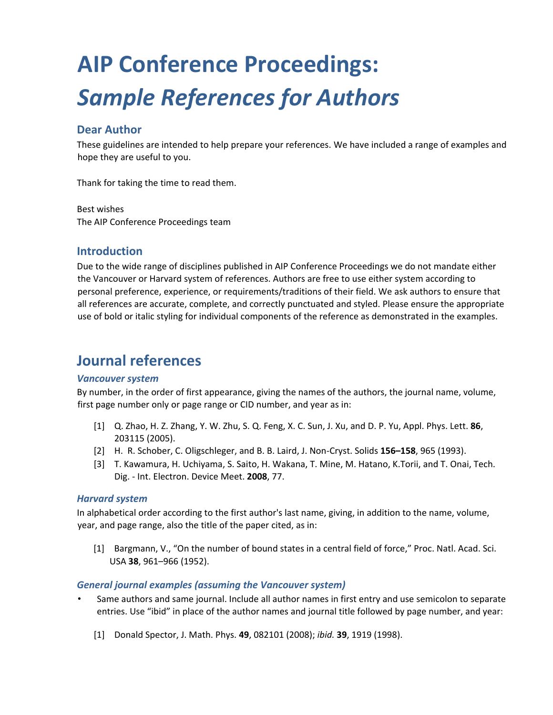# **AIP Conference Proceedings:**  *Sample References for Authors*

## **Dear Author**

These guidelines are intended to help prepare your references. We have included a range of examples and hope they are useful to you.

Thank for taking the time to read them.

Best wishes The AIP Conference Proceedings team

### **Introduction**

Due to the wide range of disciplines published in AIP Conference Proceedings we do not mandate either the Vancouver or Harvard system of references. Authors are free to use either system according to personal preference, experience, or requirements/traditions of their field. We ask authors to ensure that all references are accurate, complete, and correctly punctuated and styled. Please ensure the appropriate use of bold or italic styling for individual components of the reference as demonstrated in the examples.

# **Journal references**

#### *Vancouver system*

By number, in the order of first appearance, giving the names of the authors, the journal name, volume, first page number only or page range or CID number, and year as in:

- [1] Q. Zhao, H. Z. Zhang, Y. W. Zhu, S. Q. Feng, X. C. Sun, J. Xu, and D. P. Yu, Appl. Phys. Lett. **86**, 203115 (2005).
- [2] H. R. Schober, C. Oligschleger, and B. B. Laird, J. Non-Cryst. Solids **156–158**, 965 (1993).
- [3] T. Kawamura, H. Uchiyama, S. Saito, H. Wakana, T. Mine, M. Hatano, K.Torii, and T. Onai, Tech. Dig. - Int. Electron. Device Meet. **2008**, 77.

#### *Harvard system*

In alphabetical order according to the first author's last name, giving, in addition to the name, volume, year, and page range, also the title of the paper cited, as in:

[1] Bargmann, V., "On the number of bound states in a central field of force," Proc. Natl. Acad. Sci. USA **38**, 961–966 (1952).

#### *General journal examples (assuming the Vancouver system)*

- Same authors and same journal. Include all author names in first entry and use semicolon to separate entries. Use "ibid" in place of the author names and journal title followed by page number, and year:
	- [1] Donald Spector, J. Math. Phys. **49**, 082101 (2008); *ibid.* **39**, 1919 (1998).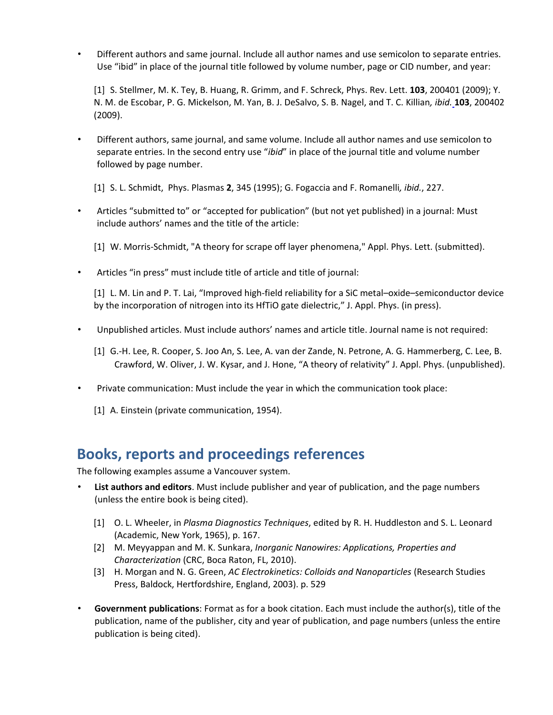• Different authors and same journal. Include all author names and use semicolon to separate entries. Use "ibid" in place of the journal title followed by volume number, page or CID number, and year:

[1] S. Stellmer, M. K. Tey, B. Huang, R. Grimm, and F. Schreck, Phys. Rev. Lett. **103**, 200401 (2009); Y. N. M. de Escobar, P. G. Mickelson, M. Yan, B. J. DeSalvo, S. B. Nagel, and T. C. Killian*, ibid.* **103**, 200402 (2009).

- Different authors, same journal, and same volume. Include all author names and use semicolon to separate entries. In the second entry use "*ibid*" in place of the journal title and volume number followed by page number.
	- [1] S. L. Schmidt, Phys. Plasmas **2**, 345 (1995); G. Fogaccia and F. Romanelli*, ibid.*, 227.
- Articles "submitted to" or "accepted for publication" (but not yet published) in a journal: Must include authors' names and the title of the article:
	- [1] W. Morris-Schmidt, "A theory for scrape off layer phenomena," Appl. Phys. Lett. (submitted).
- Articles "in press" must include title of article and title of journal:

[1] L. M. Lin and P. T. Lai, "Improved high-field reliability for a SiC metal–oxide–semiconductor device by the incorporation of nitrogen into its HfTiO gate dielectric," J. Appl. Phys. (in press).

- Unpublished articles. Must include authors' names and article title. Journal name is not required:
	- [1] G.-H. Lee, R. Cooper, S. Joo An, S. Lee, A. van der Zande, N. Petrone, A. G. Hammerberg, C. Lee, B. Crawford, W. Oliver, J. W. Kysar, and J. Hone, "A theory of relativity" J. Appl. Phys. (unpublished).
- Private communication: Must include the year in which the communication took place:
	- [1] A. Einstein (private communication, 1954).

## **Books, reports and proceedings references**

The following examples assume a Vancouver system.

- **List authors and editors**. Must include publisher and year of publication, and the page numbers (unless the entire book is being cited).
	- [1] O. L. Wheeler, in *Plasma Diagnostics Techniques*, edited by R. H. Huddleston and S. L. Leonard (Academic, New York, 1965), p. 167.
	- [2] M. Meyyappan and M. K. Sunkara, *Inorganic Nanowires: Applications, Properties and Characterization* (CRC, Boca Raton, FL, 2010).
	- [3] H. Morgan and N. G. Green, *AC Electrokinetics: Colloids and Nanoparticles* (Research Studies Press, Baldock, Hertfordshire, England, 2003). p. 529
- **Government publications**: Format as for a book citation. Each must include the author(s), title of the publication, name of the publisher, city and year of publication, and page numbers (unless the entire publication is being cited).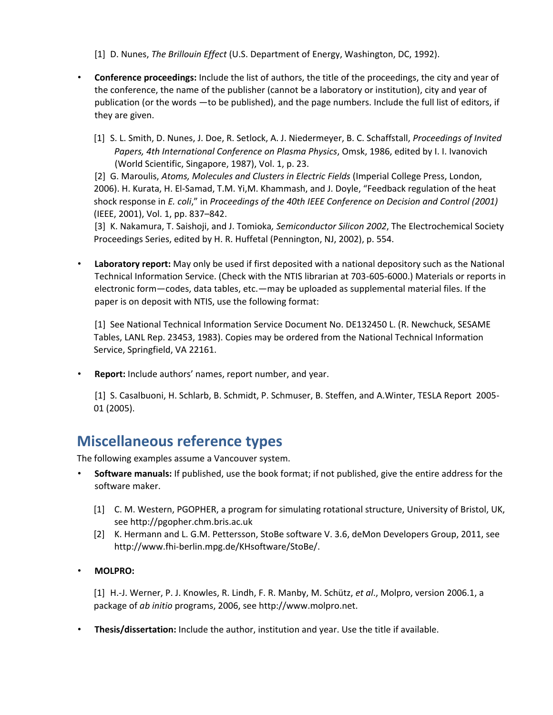[1] D. Nunes, *The Brillouin Effect* (U.S. Department of Energy, Washington, DC, 1992).

- **Conference proceedings:** Include the list of authors, the title of the proceedings, the city and year of the conference, the name of the publisher (cannot be a laboratory or institution), city and year of publication (or the words —to be published), and the page numbers. Include the full list of editors, if they are given.
	- [1] S. L. Smith, D. Nunes, J. Doe, R. Setlock, A. J. Niedermeyer, B. C. Schaffstall, *Proceedings of Invited Papers, 4th International Conference on Plasma Physics*, Omsk, 1986, edited by I. I. Ivanovich (World Scientific, Singapore, 1987), Vol. 1, p. 23.

[2] G. Maroulis, *Atoms, Molecules and Clusters in Electric Fields* (Imperial College Press, London, 2006). H. Kurata, H. El-Samad, T.M. Yi,M. Khammash, and J. Doyle, "Feedback regulation of the heat shock response in *E. coli*," in *Proceedings of the 40th IEEE Conference on Decision and Control (2001)*  (IEEE, 2001), Vol. 1, pp. 837–842.

[3] K. Nakamura, T. Saishoji, and J. Tomioka*, Semiconductor Silicon 2002*, The Electrochemical Society Proceedings Series, edited by H. R. Huffetal (Pennington, NJ, 2002), p. 554.

• **Laboratory report:** May only be used if first deposited with a national depository such as the National Technical Information Service. (Check with the NTIS librarian at 703-605-6000.) Materials or reports in electronic form—codes, data tables, etc.—may be uploaded as supplemental material files. If the paper is on deposit with NTIS, use the following format:

[1] See National Technical Information Service Document No. DE132450 L. (R. Newchuck, SESAME Tables, LANL Rep. 23453, 1983). Copies may be ordered from the National Technical Information Service, Springfield, VA 22161.

• **Report:** Include authors' names, report number, and year.

[1] S. Casalbuoni, H. Schlarb, B. Schmidt, P. Schmuser, B. Steffen, and A.Winter, TESLA Report 2005- 01 (2005).

## **Miscellaneous reference types**

The following examples assume a Vancouver system.

- **Software manuals:** If published, use the book format; if not published, give the entire address for the software maker.
	- [1] C. M. Western, PGOPHER, a program for simulating rotational structure, University of Bristol, UK, see http://pgopher.chm.bris.ac.uk
	- [2] K. Hermann and L. G.M. Pettersson, StoBe software V. 3.6, deMon Developers Group, 2011, see http://www.fhi-berlin.mpg.de/KHsoftware/StoBe/.
- **MOLPRO:**

[1] H.-J. Werner, P. J. Knowles, R. Lindh, F. R. Manby, M. Schütz, *et al*., Molpro, version 2006.1, a package of *ab initio* programs, 2006, see http://www.molpro.net.

• **Thesis/dissertation:** Include the author, institution and year. Use the title if available.